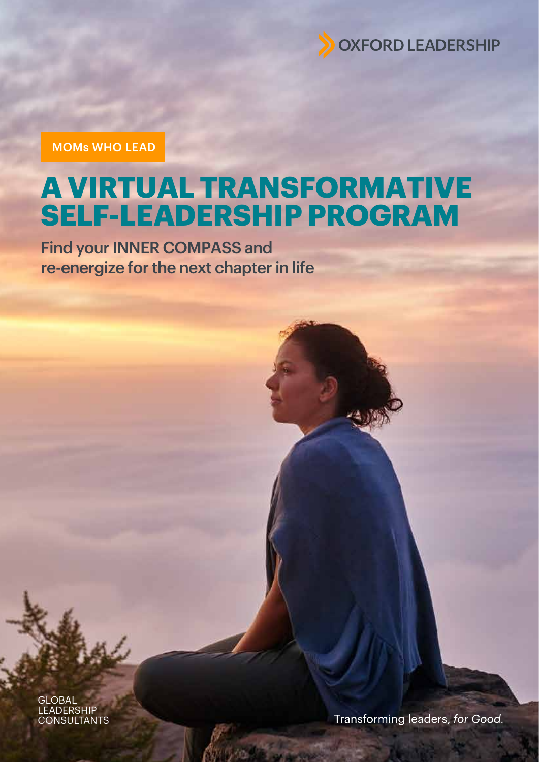

MOMs WHO LEAD

# **A VIRTUAL TRANSFORMATIVE SELF-LEADERSHIP PROGRAM**

Find your INNER COMPASS and re-energize for the next chapter in life

GLOBAL **LEADERSHIP CONSULTANTS** 

Transforming leaders, for Good.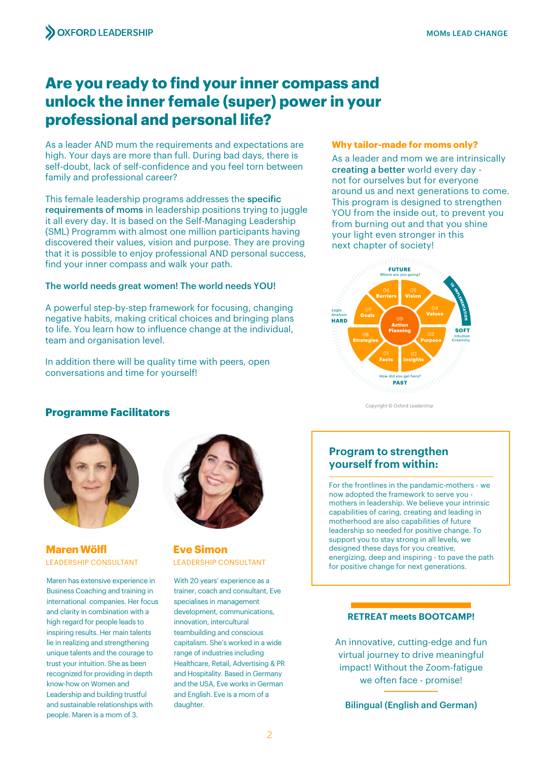### **Are you ready to find your inner compass and unlock the inner female (super) power in your professional and personal life?**

As a leader AND mum the requirements and expectations are high. Your days are more than full. During bad days, there is self-doubt, lack of self-confidence and you feel torn between family and professional career?

This female leadership programs addresses the specific requirements of moms in leadership positions trying to juggle it all every day. It is based on the Self-Managing Leadership (SML) Programm with almost one million participants having discovered their values, vision and purpose. They are proving that it is possible to enjoy professional AND personal success, find your inner compass and walk your path.

#### The world needs great women! The world needs YOU!

A powerful step-by-step framework for focusing, changing negative habits, making critical choices and bringing plans to life. You learn how to influence change at the individual, team and organisation level.

In addition there will be quality time with peers, open conversations and time for yourself!

#### **Why tailor-made for moms only?**

As a leader and mom we are intrinsically creating a better world every day not for ourselves but for everyone around us and next generations to come. This program is designed to strengthen YOU from the inside out, to prevent you from burning out and that you shine your light even stronger in this next chapter of society!



Copyright © Oxford Leadership

### **Programme Facilitators**



**Maren Wölfl** LEADERSHIP CONSULTANT

Maren has extensive experience in Business Coaching and training in international companies. Her focus and clarity in combination with a high regard for people leads to inspiring results. Her main talents lie in realizing and strengthening unique talents and the courage to trust your intuition. She as been recognized for providing in depth know-how on Women and Leadership and building trustful and sustainable relationships with people. Maren is a mom of 3.



**Eve Simon** LEADERSHIP CONSULTANT

With 20 years' experience as a trainer, coach and consultant, Eve specialises in management development, communications, innovation, intercultural teambuilding and conscious capitalism. She's worked in a wide range of industries including Healthcare, Retail, Advertising & PR and Hospitality. Based in Germany and the USA, Eve works in German and English. Eve is a mom of a daughter.

### **Program to strengthen yourself from within:**

For the frontlines in the pandamic-mothers - we now adopted the framework to serve you mothers in leadership. We believe your intrinsic capabilities of caring, creating and leading in motherhood are also capabilities of future leadership so needed for positive change. To support you to stay strong in all levels, we designed these days for you creative, energizing, deep and inspiring - to pave the path for positive change for next generations.

### **RETREAT meets BOOTCAMP!**

An innovative, cutting-edge and fun virtual journey to drive meaningful impact! Without the Zoom-fatigue we often face - promise!

Bilingual (English and German)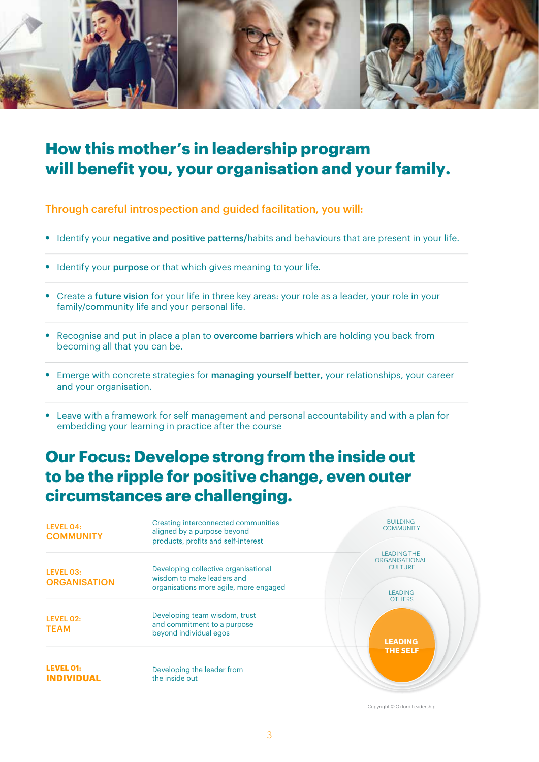

# **How this mother's in leadership program will benefit you, your organisation and your family.**

Through careful introspection and guided facilitation, you will:

- Identify your negative and positive patterns/habits and behaviours that are present in your life.
- Identify your **purpose** or that which gives meaning to your life.
- **•** Create a future vision for your life in three key areas: your role as a leader, your role in your family/community life and your personal life.
- **•** Recognise and put in place a plan to overcome barriers which are holding you back from becoming all that you can be.
- **•** Emerge with concrete strategies for managing yourself better, your relationships, your career and your organisation.
- **•** Leave with a framework for self management and personal accountability and with a plan for embedding your learning in practice after the course

# **Our Focus: Develope strong from the inside out to be the ripple for positive change, even outer circumstances are challenging.**



Copyright © Oxford Leadership